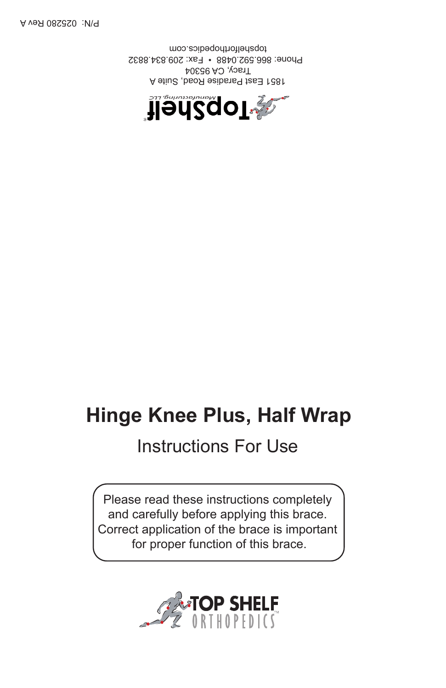

# Instructions For Use

Please read these instructions completely and carefully before applying this brace. Correct application of the brace is important for proper function of this brace.





1851 East Paradise Road, Suite A Tracy, CA 95304 Phone: 866.592.0488 • Fax: 209.834.8832 topshelforthopedics.com

**Handar Religion**